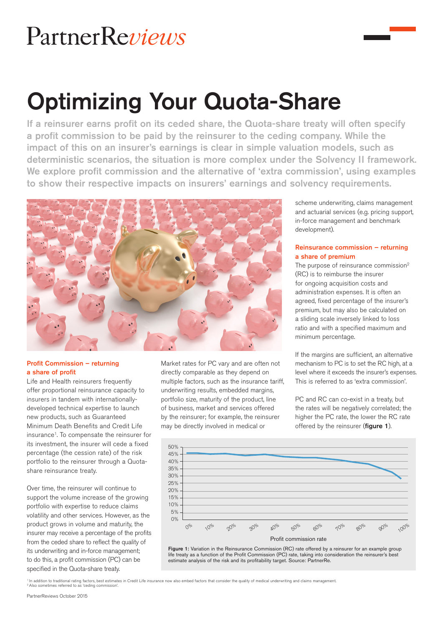# PartnerReviews

# Optimizing Your Quota-Share

If a reinsurer earns profit on its ceded share, the Quota-share treaty will often specify a profit commission to be paid by the reinsurer to the ceding company. While the impact of this on an insurer's earnings is clear in simple valuation models, such as deterministic scenarios, the situation is more complex under the Solvency II framework. We explore profit commission and the alternative of 'extra commission', using examples to show their respective impacts on insurers' earnings and solvency requirements.



### Profit Commission – returning a share of profit

Life and Health reinsurers frequently offer proportional reinsurance capacity to insurers in tandem with internationallydeveloped technical expertise to launch new products, such as Guaranteed Minimum Death Benefits and Credit Life insurance1. To compensate the reinsurer for its investment, the insurer will cede a fixed percentage (the cession rate) of the risk portfolio to the reinsurer through a Quotashare reinsurance treaty.

Over time, the reinsurer will continue to support the volume increase of the growing portfolio with expertise to reduce claims volatility and other services. However, as the product grows in volume and maturity, the insurer may receive a percentage of the profits from the ceded share to reflect the quality of its underwriting and in-force management; to do this, a profit commission (PC) can be specified in the Quota-share treaty.

Market rates for PC vary and are often not directly comparable as they depend on multiple factors, such as the insurance tariff, underwriting results, embedded margins, portfolio size, maturity of the product, line of business, market and services offered by the reinsurer; for example, the reinsurer may be directly involved in medical or

scheme underwriting, claims management and actuarial services (e.g. pricing support, in-force management and benchmark development).

#### Reinsurance commission – returning a share of premium

The purpose of reinsurance commission<sup>2</sup> (RC) is to reimburse the insurer for ongoing acquisition costs and administration expenses. It is often an agreed, fixed percentage of the insurer's premium, but may also be calculated on a sliding scale inversely linked to loss ratio and with a specified maximum and minimum percentage.

If the margins are sufficient, an alternative mechanism to PC is to set the RC high, at a level where it exceeds the insurer's expenses. This is referred to as 'extra commission'.

PC and RC can co-exist in a treaty, but the rates will be negatively correlated; the higher the PC rate, the lower the RC rate offered by the reinsurer (figure 1).



Figure 1: Variation in the Reinsurance Commission (RC) rate offered by a reinsurer for an example group life treaty as a function of the Profit Commission (PC) rate, taking into consideration the reinsurer's best estimate analysis of the risk and its profitability target. Source: PartnerRe.

' In addition to traditional rating factors, best estimates in Credit Life insurance now also embed factors that consider the quality of medical underwriting and claims management<br><sup>2</sup> Also sometimes referred to as 'ceding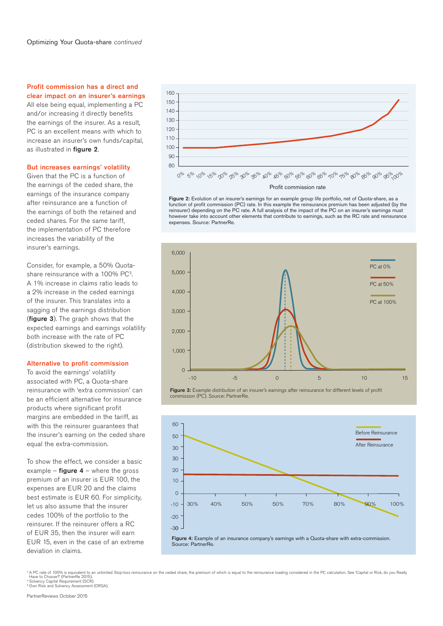#### Profit commission has a direct and clear impact on an insurer's earnings

All else being equal, implementing a PC and/or increasing it directly benefits the earnings of the insurer. As a result, PC is an excellent means with which to increase an insurer's own funds/capital, as illustrated in figure 2.

#### But increases earnings' volatility

Given that the PC is a function of the earnings of the ceded share, the earnings of the insurance company after reinsurance are a function of the earnings of both the retained and ceded shares. For the same tariff, the implementation of PC therefore increases the variability of the insurer's earnings.

Consider, for example, a 50% Quotashare reinsurance with a 100% PC3. A 1% increase in claims ratio leads to a 2% increase in the ceded earnings of the insurer. This translates into a sagging of the earnings distribution (figure 3). The graph shows that the expected earnings and earnings volatility both increase with the rate of PC (distribution skewed to the right).

#### Alternative to profit commission

To avoid the earnings' volatility associated with PC, a Quota-share reinsurance with 'extra commission' can be an efficient alternative for insurance products where significant profit margins are embedded in the tariff, as with this the reinsurer guarantees that the insurer's earning on the ceded share equal the extra-commission.

To show the effect, we consider a basic example – **figure 4** – where the gross premium of an insurer is EUR 100, the expenses are EUR 20 and the claims best estimate is EUR 60. For simplicity, let us also assume that the insurer cedes 100% of the portfolio to the reinsurer. If the reinsurer offers a RC of EUR 35, then the insurer will earn EUR 15, even in the case of an extreme deviation in claims.



Figure 2: Evolution of an insurer's earnings for an example group life portfolio, net of Quota-share, as a function of profit commission (PC) rate. In this example the reinsurance premium has been adjusted (by the reinsurer) depending on the PC rate. A full analysis of the impact of the PC on an insurer's earnings must however take into account other elements that contribute to earnings, such as the RC rate and reinsurance expenses. Source: PartnerRe.



Figure 3: Example distribution of an insurer's earnings after reinsurance for different levels of profit commission (PC). Source: PartnerRe.



<sup>3</sup> A PC rate of 100% is equivalent to an unlimited Stop-loss reinsurance on the ceded share, the premium of which is equal to the reinsurance loading considered in the PC calculation. See 'Capital or Risk, do you Really Have to Choose?' (PartnerRe 2015). 4 Solvency Capital Requirement (SCR). 5 Own Risk and Solvency Assessment (ORSA).